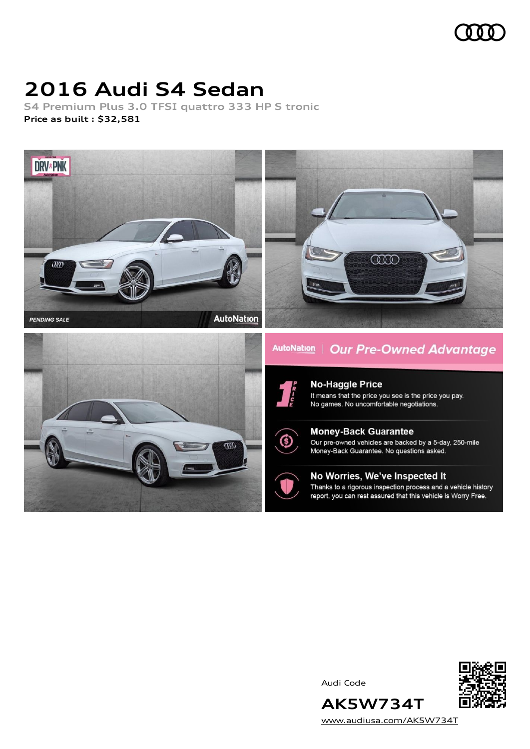# **2016 Audi S4 Sedan**

**S4 Premium Plus 3.0 TFSI quattro 333 HP S tronic Price as built [:](#page-10-0) \$32,581**



Audi Code



[www.audiusa.com/AK5W734T](https://www.audiusa.com/AK5W734T)

**AK5W734T**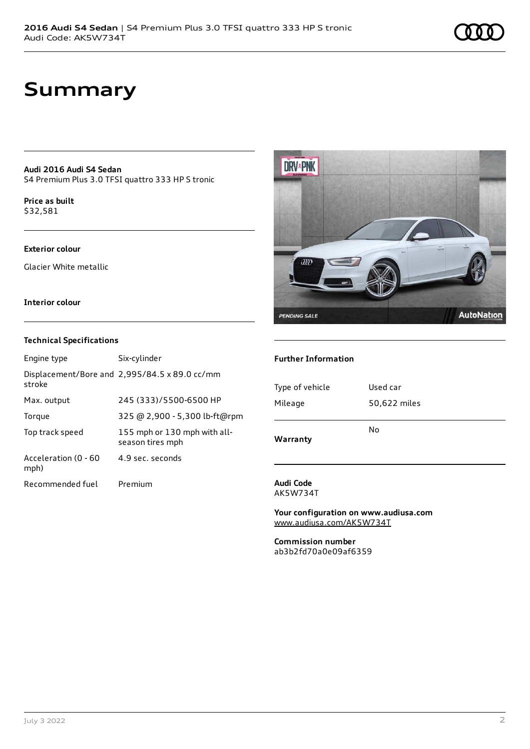## **Summary**

**Audi 2016 Audi S4 Sedan** S4 Premium Plus 3.0 TFSI quattro 333 HP S tronic

**Price as buil[t](#page-10-0)** \$32,581

#### **Exterior colour**

Glacier White metallic

#### **Interior colour**

#### **Technical Specifications**

| Engine type                  | Six-cylinder                                     |
|------------------------------|--------------------------------------------------|
| stroke                       | Displacement/Bore and 2,995/84.5 x 89.0 cc/mm    |
| Max. output                  | 245 (333)/5500-6500 HP                           |
| Torque                       | 325 @ 2,900 - 5,300 lb-ft@rpm                    |
| Top track speed              | 155 mph or 130 mph with all-<br>season tires mph |
| Acceleration (0 - 60<br>mph) | 4.9 sec. seconds                                 |
| Recommended fuel             | Premium                                          |



#### **Further Information**

| Type of vehicle | Used car     |
|-----------------|--------------|
| Mileage         | 50,622 miles |
| Warranty        | No           |

#### **Audi Code** AK5W734T

**Your configuration on www.audiusa.com** [www.audiusa.com/AK5W734T](https://www.audiusa.com/AK5W734T)

**Commission number** ab3b2fd70a0e09af6359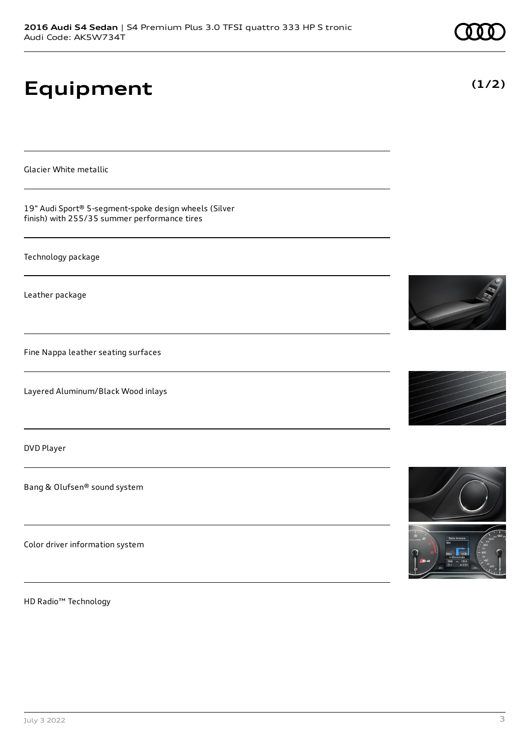# **Equipment**

Glacier White metallic

19" Audi Sport® 5-segment-spoke design wheels (Silver finish) with 255/35 summer performance tires

Technology package

Leather package

Fine Nappa leather seating surfaces

Layered Aluminum/Black Wood inlays

DVD Player

Bang & Olufsen® sound system

Color driver information system

HD Radio™ Technology







**(1/2)**

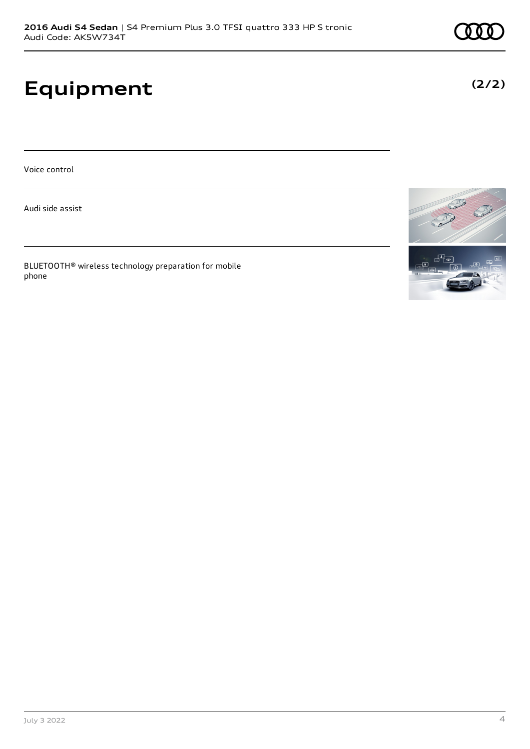# **Equipment**

Voice control

Audi side assist

BLUETOOTH® wireless technology preparation for mobile phone





**(2/2)**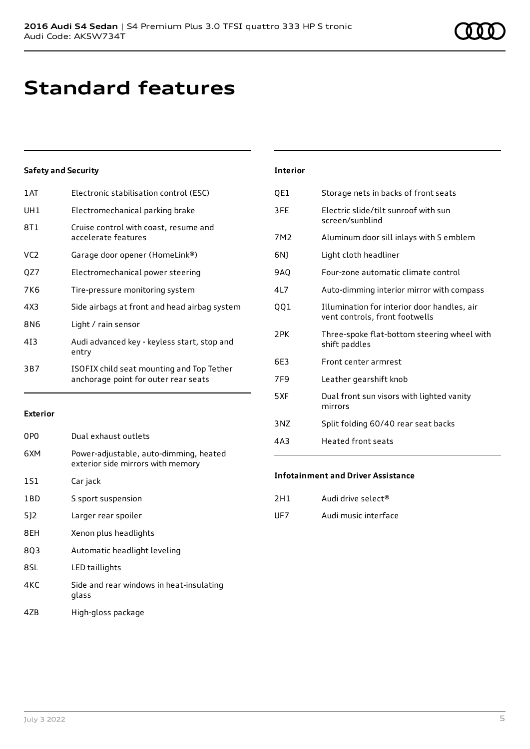# **Standard features**

#### **Safety and Security**

| 1 AT | Electronic stabilisation control (ESC)                                            |
|------|-----------------------------------------------------------------------------------|
| UH1  | Electromechanical parking brake                                                   |
| 8T1  | Cruise control with coast, resume and<br>accelerate features                      |
| VC2  | Garage door opener (HomeLink®)                                                    |
| QZ7  | Electromechanical power steering                                                  |
| 7K6  | Tire-pressure monitoring system                                                   |
| 4X3  | Side airbags at front and head airbag system                                      |
| 8N6  | Light / rain sensor                                                               |
| 413  | Audi advanced key - keyless start, stop and<br>entry                              |
| 3B7  | ISOFIX child seat mounting and Top Tether<br>anchorage point for outer rear seats |
|      |                                                                                   |

#### **Exterior**

| 0PO | Dual exhaust outlets                                                        |
|-----|-----------------------------------------------------------------------------|
| 6XM | Power-adjustable, auto-dimming, heated<br>exterior side mirrors with memory |
| 1S1 | Car jack                                                                    |
| 1BD | S sport suspension                                                          |
| 512 | Larger rear spoiler                                                         |
| 8EH | Xenon plus headlights                                                       |
| 803 | Automatic headlight leveling                                                |
| 8SL | LED taillights                                                              |
| 4KC | Side and rear windows in heat-insulating<br>glass                           |
| 47B | High-gloss package                                                          |

| <b>Interior</b> |                                                                               |
|-----------------|-------------------------------------------------------------------------------|
| OE1             | Storage nets in backs of front seats                                          |
| 3FE             | Electric slide/tilt sunroof with sun<br>screen/sunblind                       |
| 7M <sub>2</sub> | Aluminum door sill inlays with S emblem                                       |
| 6N)             | Light cloth headliner                                                         |
| 9AO             | Four-zone automatic climate control                                           |
| 4L7             | Auto-dimming interior mirror with compass                                     |
| QQ1             | Illumination for interior door handles, air<br>vent controls, front footwells |
| 2PK             | Three-spoke flat-bottom steering wheel with<br>shift paddles                  |
| 6F3             | Front center armrest                                                          |
| 7F9             | Leather gearshift knob                                                        |
| 5XF             | Dual front sun visors with lighted vanity<br>mirrors                          |
| 3 <sub>N7</sub> | Split folding 60/40 rear seat backs                                           |
| 4A3             | <b>Heated front seats</b>                                                     |

#### **Infotainment and Driver Assistance**

| 2H1 | Audi drive select <sup>®</sup> |
|-----|--------------------------------|
| UF7 | Audi music interface           |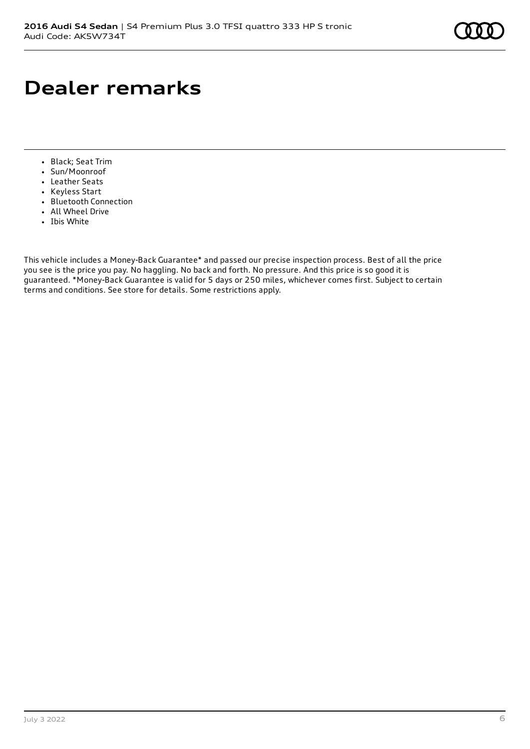# **Dealer remarks**

- Black; Seat Trim
- Sun/Moonroof
- Leather Seats
- Keyless Start
- Bluetooth Connection
- All Wheel Drive
- Ibis White

This vehicle includes a Money-Back Guarantee\* and passed our precise inspection process. Best of all the price you see is the price you pay. No haggling. No back and forth. No pressure. And this price is so good it is guaranteed. \*Money-Back Guarantee is valid for 5 days or 250 miles, whichever comes first. Subject to certain terms and conditions. See store for details. Some restrictions apply.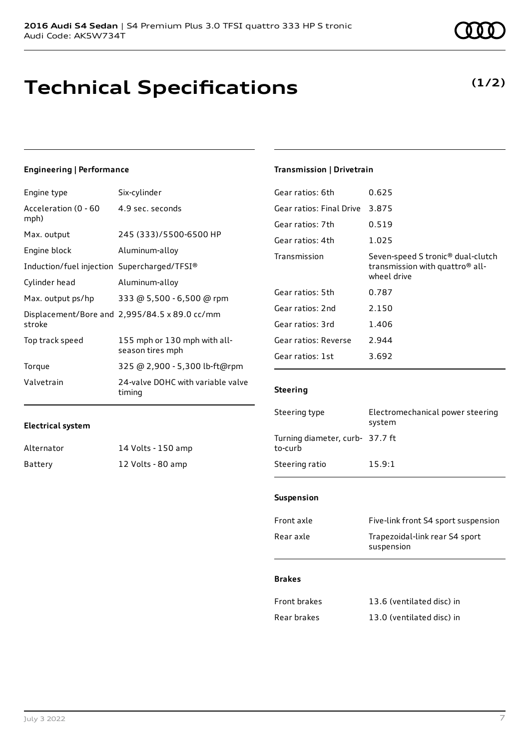## **Technical Specifications**

#### **Engineering | Performance**

| Engine type                                 | Six-cylinder                                     |
|---------------------------------------------|--------------------------------------------------|
| Acceleration (0 - 60<br>mph)                | 4.9 sec. seconds                                 |
| Max. output                                 | 245 (333)/5500-6500 HP                           |
| Engine block                                | Aluminum-alloy                                   |
| Induction/fuel injection Supercharged/TFSI® |                                                  |
| Cylinder head                               | Aluminum-alloy                                   |
| Max. output ps/hp                           | 333 @ 5,500 - 6,500 @ rpm                        |
| stroke                                      | Displacement/Bore and 2,995/84.5 x 89.0 cc/mm    |
| Top track speed                             | 155 mph or 130 mph with all-<br>season tires mph |
| Torque                                      | 325 @ 2,900 - 5,300 lb-ft@rpm                    |
| Valvetrain                                  | 24-valve DOHC with variable valve<br>timing      |

#### **Electrical system**

| Alternator | 14 Volts - 150 amp |
|------------|--------------------|
| Battery    | 12 Volts - 80 amp  |

### **Transmission | Drivetrain**

| Gear ratios: 6th         | 0.625                                                                                                       |
|--------------------------|-------------------------------------------------------------------------------------------------------------|
| Gear ratios: Final Drive | 3.875                                                                                                       |
| Gear ratios: 7th         | 0.519                                                                                                       |
| Gear ratios: 4th         | 1.025                                                                                                       |
| Transmission             | Seven-speed S tronic <sup>®</sup> dual-clutch<br>transmission with quattro <sup>®</sup> all-<br>wheel drive |
| Gear ratios: 5th         | 0.787                                                                                                       |
| Gear ratios: 2nd         | 2.150                                                                                                       |
| Gear ratios: 3rd         | 1.406                                                                                                       |
| Gear ratios: Reverse     | 2.944                                                                                                       |
| Gear ratios: 1st         | 3.692                                                                                                       |
|                          |                                                                                                             |

#### **Steering**

| Steering type                              | Electromechanical power steering<br>system |
|--------------------------------------------|--------------------------------------------|
| Turning diameter, curb- 37.7 ft<br>to-curb |                                            |
| Steering ratio                             | 15.9:1                                     |

#### **Suspension**

| Front axle | Five-link front S4 sport suspension          |
|------------|----------------------------------------------|
| Rear axle  | Trapezoidal-link rear S4 sport<br>suspension |

#### **Brakes**

| Front brakes | 13.6 (ventilated disc) in |
|--------------|---------------------------|
| Rear brakes  | 13.0 (ventilated disc) in |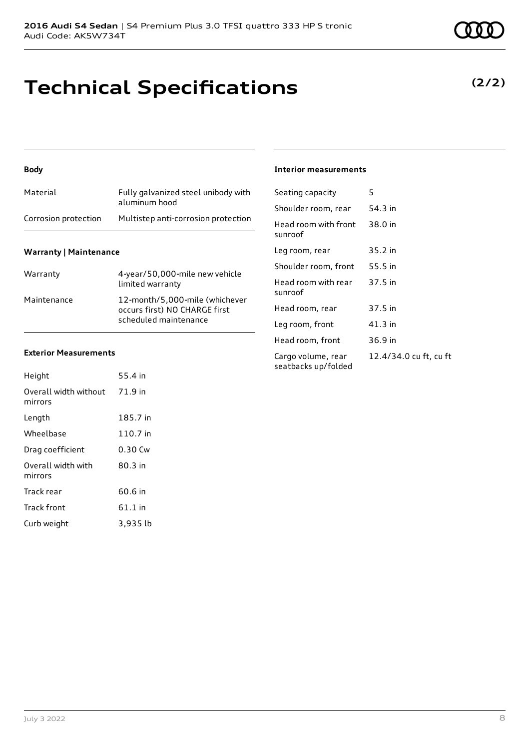## **Technical Specifications**

#### **Body**

| Material             | Fully galvanized steel unibody with<br>aluminum hood |
|----------------------|------------------------------------------------------|
| Corrosion protection | Multistep anti-corrosion protection                  |

#### **Warranty | Maintenance**

| Warranty    | 4-year/50,000-mile new vehicle<br>limited warranty                                       |
|-------------|------------------------------------------------------------------------------------------|
| Maintenance | 12-month/5,000-mile (whichever<br>occurs first) NO CHARGE first<br>scheduled maintenance |

#### **Exterior Measurements**

| Height                           | 55.4 in   |
|----------------------------------|-----------|
| Overall width without<br>mirrors | 71.9 in   |
| Length                           | 185.7 in  |
| Wheelbase                        | 110.7 in  |
| Drag coefficient                 | 0.30 Cw   |
| Overall width with<br>mirrors    | 80.3 in   |
| Track rear                       | 60.6 in   |
| <b>Track front</b>               | $61.1$ in |
| Curb weight                      | 3.935 lb  |

#### **Interior measurements**

| Seating capacity                          | 5                      |
|-------------------------------------------|------------------------|
| Shoulder room, rear                       | 54.3 in                |
| Head room with front<br>sunroof           | 38.0 in                |
| Leg room, rear                            | $35.2$ in              |
| Shoulder room, front                      | 55.5 in                |
| Head room with rear<br>sunroof            | 37.5 in                |
| Head room, rear                           | 37.5 in                |
| Leg room, front                           | 41.3 in                |
| Head room, front                          | 36.9 in                |
| Cargo volume, rear<br>seatbacks up/folded | 12.4/34.0 cu ft, cu ft |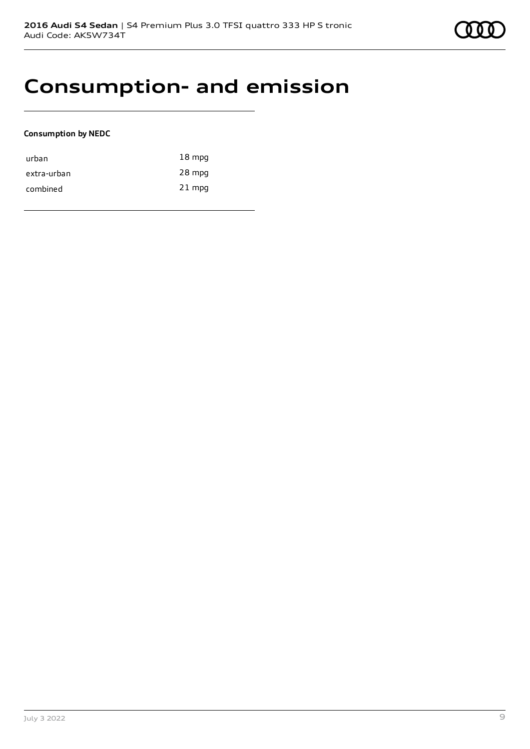### **Consumption- and emission**

#### **Consumption by NEDC**

| urban       | $18 \text{ mpg}$ |
|-------------|------------------|
| extra-urban | 28 mpg           |
| combined    | $21$ mpg         |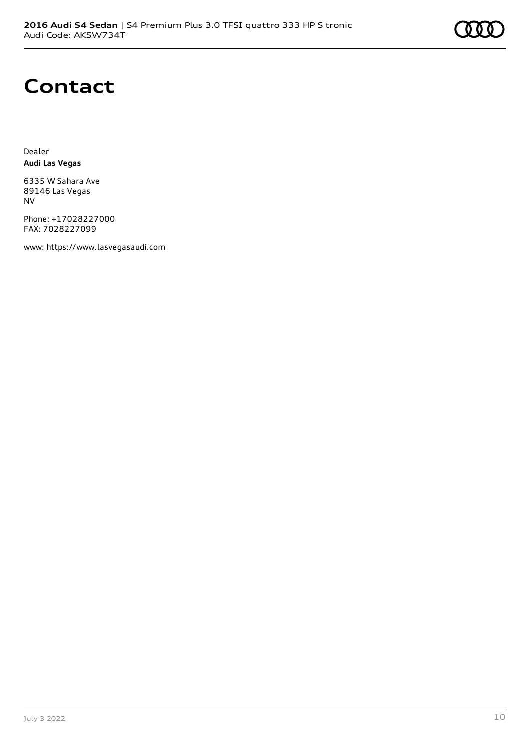### **Contact**

Dealer **Audi Las Vegas**

6335 W Sahara Ave 89146 Las Vegas NV

Phone: +17028227000 FAX: 7028227099

www: [https://www.lasvegasaudi.com](https://www.lasvegasaudi.com/)